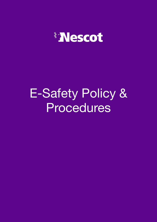

# E-Safety Policy & Procedures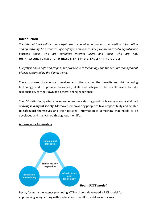#### **Introduction**

*The internet itself will be a powerful resource in widening access to education, information and opportunity. So awareness of e-safety is now a necessity if we are to avoid a digital divide between those who are confident internet users and those who are not.* **JULIA TAYLOR, FOREWORD TO NIACE E-SAFETY DIGITAL LEARNING GUIDES** 

*E-Safety is about safe and responsible practice with technology and the sensible management of risks presented by the digital world.*

There is a need to educate ourselves and others about the benefits and risks of using technology and to provide awareness, skills and safeguards to enable users to take responsibility for their own and others' online experience.

The JISC definition quoted above can be used as a starting point for learning about a vital part of *[living in a digital society](http://www.jiscinfonet.ac.uk/infokits/digital-literacies/)*. Moreover, empowering people to take responsibility and be able to safeguard themselves and their personal information is something that needs to be developed and maintained throughout their life.



#### **A framework for e-safety**

Becta, formerly the agency promoting ICT in schools, developed a PIES model for approaching safeguarding within education. The PIES model encompasses: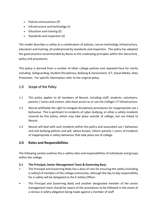- Policies and practices (P)
- Infrastructure and technology (I)
- Education and training (E)
- Standards and inspection (S)

The model describes e-safety as a combination of policies, secure technology infrastructure, education and training, all underpinned by standards and inspection. This policy has adopted the good practice recommended by Becta as the underlying principles within this document, policy and procedures.

This policy is derived from a number of other college policies and repeated here for clarity including: Safeguarding, Student Disciplinary, Bullying & Harassment, ICT, Social Media, Data Protection. For specific information refer to the original policy.

# 1.0 Scope of the Policy

- 1.1 This policy applies to all members of Nescot, including staff, students, volunteers, parents / carers and visitors, who have access to or use the College's IT infrastructure.
- 1.2 Nescot withholds the right to instigate disciplinary procedures for inappropriate use / behaviour. This is pertinent to incidents of cyber-bullying, or other e-safety incidents covered by this policy, which may take place outside of college, but are linked to Nescot.
- 1.3 Nescot will deal with such incidents within this policy and associated use / behaviour and anti-bullying policies and will, where known, inform parents / carers of incidents of inappropriate e-safety behaviour that take place out of college.

# **2.0 Roles and Responsibilities**

The following section outlines the e-safety roles and responsibilities of individuals and groups within the college.

# **2.1 The Principal, Senior Management Team & Governing Bo**dy

- The Principal and Governing Body has a duty of care for ensuring the safety (including e-safety) of members of the college community, although the day to day responsibility for e-safety will be delegated to the E-Safety Officer.
- The Principal and Governing Body and another designated member of the senior management team should be aware of the procedures to be followed in the event of a serious e-safety allegation being made against a member of staff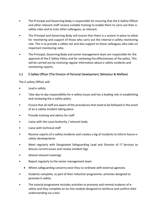- The Principal and Governing Body is responsible for ensuring that the E-Safety Officer and other relevant staff receive suitable training to enable them to carry out their esafety roles and to train other colleagues, as relevant.
- The Principal and Governing Body will ensure that there is a system in place to allow for monitoring and support of those who carry out the internal e-safety monitoring role. This is to provide a safety net and also support to those colleagues who take on important monitoring roles.
- The Principal, Governing Body and senior management team are responsible for the approval of the E-Safety Policy and for reviewing the effectiveness of the policy. This will be carried out by receiving regular information about e-safety incidents and monitoring reports.

# 2.2 E-Safety Officer (The Director of Personal Development, Behaviour & Welfare)

The E-safety Officer will:

- Lead e-safety
- Take day to day responsibility for e-safety issues and has a leading role in establishing and reviewing the e-safety policy
- Ensure that all staff are aware of the procedures that need to be followed in the event of an e-safety incident taking place.
- Provide training and advice for staff
- Liaise with the Local Authority / relevant body
- Liaise with technical staff
- Receive reports of e-safety incidents and creates a log of incidents to inform future esafety developments
- Meet regularly with Designated Safeguarding Lead and Director of IT Services to discuss current issues and review incident logs
- Attend relevant meetings
- Report regularly to the senior management team
	- Where safeguarding concerns exist they co-ordinate with external agencies
- Students complete, as part of their induction programme, activities designed to promote E-safety.
- The tutorial programme includes activities to promote and remind students of esafety and they complete an on-line module designed to reinforce and confirm their understanding via a test.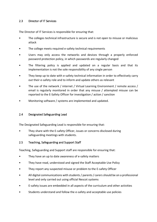### 2.3 Director of IT Services

The Director of IT Services is responsible for ensuring that:

- The colleges technical infrastructure is secure and is not open to misuse or malicious attack
- The college meets required e-safety technical requirements
- Users may only access the networks and devices through a properly enforced password protection policy, in which passwords are regularly changed
- The filtering policy is applied and updated on a regular basis and that its implementation is not the sole responsibility of any single person
- They keep up to date with e-safety technical information in order to effectively carry out their e-safety role and to inform and update others as relevant
- The use of the network / internet / Virtual Learning Environment / remote access / email is regularly monitored in order that any misuse / attempted misuse can be reported to the E-Safety Officer for investigation / action / sanction
- Monitoring software / systems are implemented and updated.

#### 2.4 Designated Safeguarding Lead

The Designated Safeguarding Lead is responsible for ensuring that:

They share with the E-safety Officer, issues or concerns disclosed during safeguarding meetings with students.

#### 2.5 Teaching, Safeguarding and Support Staff

Teaching, Safeguarding and Support staff are responsible for ensuring that:

- They have an up to date awareness of e-safety matters
- They have read, understood and signed the Staff Acceptable Use Policy
- They report any suspected misuse or problem to the E-safety Officer
- All digital communications with students / parents / carers should be on a professional level and only carried out using official Nescot systems
- E-safety issues are embedded in all aspects of the curriculum and other activities
- Students understand and follow the e-safety and acceptable use policies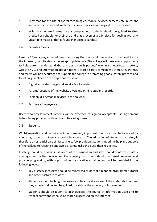- They monitor the use of digital technologies, mobile devices, cameras etc in lessons and other activities and implement current policies with regard to these devices
- In lessons, where internet use is pre-planned, students should be guided to sites checked as suitable for their use and that processes are in place for dealing with any unsuitable material that is found in internet searches.

# 2.6 Parents / Carers

Parents / Carers play a crucial role in ensuring that their child understands the need to use the internet / mobile devices in an appropriate way. The college will take every opportunity to help parents understand these issues through parents' evenings, newsletters, letters, website / VLE and information about national / local e-safety campaigns / literature. Parents and carers will be encouraged to support the college in promoting good e-safety practice and to follow guidelines on the appropriate use of:

- Digital and video images taken at school events
- Parents' sections of the website / VLE and on-line student records
- Their child's personal devices in the college.

# 2.7 Partners / Employers etc…

Users who access Nescot systems will be expected to sign an Acceptable Use Agreement before being provided with access to Nescot systems.

# 2.8 Students

Whilst regulation and technical solutions are very important, their use must be balanced by educating students to take a responsible approach. The education of students in e-safety is therefore an essential part of Nescot's e-safety provision. Students need the help and support of the college to recognise and avoid e-safety risks and build their resilience.

E-safety should be a focus in all areas of the curriculum and staff should reinforce e-safety messages across the curriculum. The e-safety curriculum should be broad, relevant and provide progression, with opportunities for creative activities and will be provided in the following ways:

- Key e-safety messages should be reinforced as part of a planned programme tutorial and other pastoral activities
- Students should be taught in lessons to be critically aware of the materials / content they access on-line and be guided to validate the accuracy of information
- Students should be taught to acknowledge the source of information used and to respect copyright when using material accessed on the internet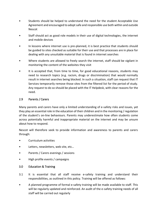- Students should be helped to understand the need for the student Acceptable Use Agreement and encouraged to adopt safe and responsible use both within and outside Nescot
- Staff should act as good role models in their use of digital technologies, the internet and mobile devices
- In lessons where internet use is pre-planned, it is best practice that students should be guided to sites checked as suitable for their use and that processes are in place for dealing with any unsuitable material that is found in internet searches
- Where students are allowed to freely search the internet, staff should be vigilant in monitoring the content of the websites they visit
- It is accepted that, from time to time, for good educational reasons, students may need to research topics (e.g. racism, drugs or discrimination) that would normally result in internet searches being blocked. In such a situation, staff can request that IT Services temporarily remove those sites from the filtered list for the period of study. Any request to do so should be placed with the IT Helpdesk, with clear reasons for the need.

# 2.9 Parents / Carers

Many parents and carers have only a limited understanding of e-safety risks and issues, yet they play an essential role in the education of their children and in the monitoring / regulation of the student's on-line behaviours. Parents may underestimate how often students come across potentially harmful and inappropriate material on the internet and may be unsure about how to respond.

Nescot will therefore seek to provide information and awareness to parents and carers through:

- Curriculum activities
- Letters, newsletters, web site, etc...
- Parents / Carers evenings / sessions
- High profile events / campaigns

# 3.0 Education & Training

- 3.1 It is essential that all staff receive e-safety training and understand their responsibilities, as outlined in this policy. Training will be offered as follows:
- A planned programme of formal e-safety training will be made available to staff. This will be regularly updated and reinforced. An audit of the e-safety training needs of all staff will be carried out regularly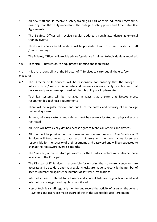- All new staff should receive e-safety training as part of their induction programme, ensuring that they fully understand the college e-safety policy and Acceptable Use Agreements
- The E-Safety Officer will receive regular updates through attendance at external training events
- This E-Safety policy and its updates will be presented to and discussed by staff in staff / team meetings
- The E-Safety Officer will provide advice / guidance / training to individuals as required.

# 4.0 Technical – infrastructure / equipment, filtering and monitoring

4.1 It is the responsibility of the Director of IT Services to carry out all the e-safety measures.

- 4.2 The Director of IT Services will be responsible for ensuring that the college IT infrastructure / network is as safe and secure as is reasonably possible and that policies and procedures approved within this policy are implemented.
- Technical systems will be managed in ways that ensure that Nescot meets recommended technical requirements
- There will be regular reviews and audits of the safety and security of the college technical systems
- Servers, wireless systems and cabling must be securely located and physical access restricted
- All users will have clearly defined access rights to technical systems and devices
- All users will be provided with a username and secure password. The Director of IT Services will keep an up to date record of users and their usernames. Users are responsible for the security of their username and password and will be requested to change their password every six months
- The "master / administrator" passwords for the IT infrastructure must also be made available to the Principal
- The Director of IT Services is responsible for ensuring that software licence logs are accurate and up to date and that regular checks are made to reconcile the number of licences purchased against the number of software installations
- Internet access is filtered for all users and content lists are regularly updated and internet use is logged and regularly monitored
- Nescot technical staff regularly monitor and record the activity of users on the college IT systems and users are made aware of this in the Acceptable Use Agreement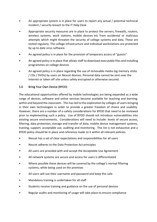- An appropriate system is in place for users to report any actual / potential technical incident / security breach to the IT Help Desk
- Appropriate security measures are in place to protect the servers, firewalls, routers, wireless systems, work stations, mobile devices etc from accidental or malicious attempts which might threaten the security of college systems and data. These are tested regularly. The college infrastructure and individual workstations are protected by up to date virus software.
- An agreed policy is in place for the provision of temporary access of "guests"
- An agreed policy is in place that allows staff to download executable files and installing programmes on college devices
- An agreed policy is in place regarding the use of removable media (eg memory sticks / CDs / DVDs) by users on Nescot devices. Personal data cannot be sent over the internet or taken off site unless safely encrypted or otherwise secured.

#### 5.0 Bring Your Own Device (BYOD)

The educational opportunities offered by mobile technologies are being expanded as a wide range of devices, software and online services become available for teaching and learning, within and beyond the classroom. This has led to the exploration by colleges of users bringing in their own technologies in order to provide a greater freedom of choice and usability. However, there are a number of e-safety considerations for BYOD that need to be reviewed prior to implementing such a policy. Use of BYOD should not introduce vulnerabilities into existing secure environments. Considerations will need to include: levels of secure access, filtering, data protection, storage and transfer of data, mobile device management systems, training, support, acceptable use, auditing and monitoring. This list is not exhaustive and a BYOD policy should be in place and reference made to it within all relevant policies.

- Nescot has a set of clear expectations and responsibilities for all users
- Nescot adheres to the Data Protection Act principles
- All users are provided with and accept the Acceptable Use Agreement
- All network systems are secure and access for users is differentiated
- Where possible these devices will be covered by the college's normal filtering systems, while being used on the premises
- All users will use their username and password and keep this safe
- Mandatory training is undertaken for all staff
- Students receive training and guidance on the use of personal devices
- Regular audits and monitoring of usage will take place to ensure compliance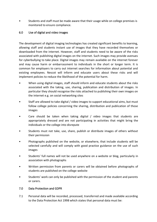• Students and staff must be made aware that their usage while on college premises is monitored to ensure compliance.

#### 6.0 Use of digital and video images

The development of digital imaging technologies has created significant benefits to learning, allowing staff and students instant use of images that they have recorded themselves or downloaded from the internet. However, staff and students need to be aware of the risks associated with publishing digital images on the internet. Such images may provide avenues for cyberbullying to take place. Digital images may remain available on the internet forever and may cause harm or embarrassment to individuals in the short or longer term. It is common for employers to carry out internet searches for information about potential and existing employees. Nescot will inform and educate users about these risks and will implement policies to reduce the likelihood of the potential for harm.

- When using digital images, staff should inform and educate students about the risks associated with the taking, use, sharing, publication and distribution of images. In particular they should recognise the risks attached to publishing their own images on the internet e.g. on social networking sites
- Staff are allowed to take digital / video images to support educational aims, but must follow college policies concerning the sharing, distribution and publication of those images
- Care should be taken when taking digital / video images that students are appropriately dressed and are not participating in activities that might bring the individuals or the college into disrepute
- Students must not take, use, share, publish or distribute images of others without their permission
- Photographs published on the website, or elsewhere, that include students will be selected carefully and will comply with good practice guidance on the use of such images
- Students' full names will not be used anywhere on a website or blog, particularly in association with photographs
- Written permission from parents or carers will be obtained before photographs of students are published on the college website
- Students' work can only be published with the permission of the student and parents or carers.

#### 7.0 Data Protection and GDPR

7.1 Personal data will be recorded, processed, transferred and made available according to the Data Protection Act 1998 which states that personal data must be: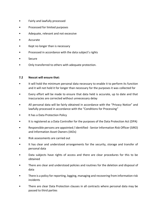- Fairly and lawfully processed
- Processed for limited purposes
- Adequate, relevant and not excessive
- Accurate
- Kept no longer than is necessary
- Processed in accordance with the data subject's rights
- Secure
- Only transferred to others with adequate protection.

#### **7.2 Nescot will ensure that:**

- It will hold the minimum personal data necessary to enable it to perform its function and it will not hold it for longer than necessary for the purposes it was collected for
- Every effort will be made to ensure that data held is accurate, up to date and that inaccuracies are corrected without unnecessary delay
- All personal data will be fairly obtained in accordance with the "Privacy Notice" and lawfully processed in accordance with the "Conditions for Processing"
- It has a Data Protection Policy
- It is registered as a Data Controller for the purposes of the Data Protection Act (DPA)
- Responsible persons are appointed / identified Senior Information Risk Officer (SIRO) and Information Asset Owners (IAOs)
- Risk assessments are carried out
- It has clear and understood arrangements for the security, storage and transfer of personal data
- Data subjects have rights of access and there are clear procedures for this to be obtained
- There are clear and understood policies and routines for the deletion and disposal of data
- There is a policy for reporting, logging, managing and recovering from information risk incidents
- There are clear Data Protection clauses in all contracts where personal data may be passed to third parties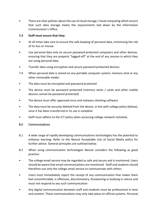• There are clear policies about the use of cloud storage / cloud computing which ensure that such data storage meets the requirements laid down by the Information Commissioner's Office.

#### **7.3 Staff must ensure that they:**

- At all times take care to ensure the safe keeping of personal data, minimising the risk of its loss or misuse
- Use personal data only on secure password protected computers and other devices, ensuring that they are properly "logged-off" at the end of any session in which they are using personal data
- Transfer data using encryption and secure password protected devices.
- 7.4 When personal data is stored on any portable computer system, memory stick or any other removable media:
- The data must be encrypted and password protected
- The device must be password protected (memory sticks / cards and other mobile devices cannot be password protected)
- The device must offer approved virus and malware checking software
- The data must be securely deleted from the device, in line with college policy (below), once it has been transferred or its use is complete
- Staff must adhere to the ICT policy when accessing college network remotely.

# 8.0 Communications

- 8.1 A wide range of rapidly developing communications technologies has the potential to enhance learning. Refer to the Nescot Acceptable Use of Social Media policy for further advice. General principles are outlined below.
- 8.2 When using communication technologies Nescot considers the following as good practice:
- The college email service may be regarded as safe and secure and is monitored. Users should be aware that email communications are monitored. Staff and students should therefore use only the college email service to communicate with others
- Users must immediately report the receipt of any communication that makes them feel uncomfortable, is offensive, discriminatory, threatening or bullying in nature and must not respond to any such communication
- Any digital communication between staff and students must be professional in tone and content. These communications may only take place on official systems. Personal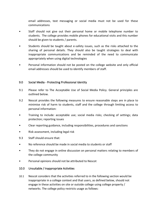email addresses, text messaging or social media must not be used for these communications

- Staff should not give out their personal home or mobile telephone number to students. The college provides mobile phones for educational visits and this number should be given to students / parents.
- Students should be taught about e-safety issues, such as the risks attached to the sharing of personal details. They should also be taught strategies to deal with inappropriate communications and be reminded of the need to communicate appropriately when using digital technologies
- Personal information should not be posted on the college website and only official email addresses should be used to identify members of staff.

#### 9.0 Social Media - Protecting Professional Identity

- 9.1 Please refer to The Acceptable Use of Social Media Policy. General principles are outlined below.
- 9.2 Nescot provides the following measures to ensure reasonable steps are in place to minimise risk of harm to students, staff and the college through limiting access to personal information:
- Training to include: acceptable use; social media risks; checking of settings; data protection; reporting issues
- Clear reporting guidance, including responsibilities, procedures and sanctions
- Risk assessment, including legal risk
- 9.3 Staff should ensure that:
- No reference should be made in social media to students or staff
- They do not engage in online discussion on personal matters relating to members of the college community
- Personal opinions should not be attributed to Nescot

#### 10.0 Unsuitable / Inappropriate Activities

10.1 Nescot considers that the activities referred to in the following section would be inappropriate in a college context and that users, as defined below, should not engage in these activities on site or outside college using college property / networks. The college policy restricts usage as follows: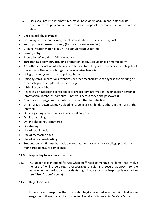- 10.2 Users shall not visit Internet sites, make, post, download, upload, data transfer, communicate or pass on, material, remarks, proposals or comments that contain or relate to:
- Child sexual abuse images
- Grooming, incitement, arrangement or facilitation of sexual acts against
- Youth produced sexual imagery (formally known as sexting)
- Criminally racist material in UK to stir up religious hatred
- Pornography
- Promotion of any kind of discrimination
- Threatening behaviour, including promotion of physical violence or mental harm
- Any other information which may be offensive to colleagues or breaches the integrity of the ethos of Nescot's or brings the college into disrepute
- Using college systems to run a private business
- Using systems, applications, websites or other mechanisms that bypass the filtering or other safeguards employed by the college
- Infringing copyright
- Revealing or publicising confidential or proprietary information (eg financial / personal information, databases, computer / network access codes and passwords)
- Creating or propagating computer viruses or other harmful files
- Unfair usage (downloading / uploading large files that hinders others in their use of the internet)
- On-line gaming other than for educational purposes
- On-line gambling
- On-line shopping / commerce
- File sharing
- Use of social media
- Use of messaging apps
- Use of video broadcasting
- Students and staff must be made aware that their usage while on college premises is monitored to ensure compliance.

#### 11.0 Responding to incidents of misuse

11.1 This guidance is intended for use when staff need to manage incidents that involve the use of online services. It encourages a safe and secure approach to the management of the incident. Incidents might involve illegal or inappropriate activities (see "User Actions" above).

#### **11.2 Illegal Incidents**

If there is any suspicion that the web site(s) concerned may contain child abuse images, or if there is any other suspected illegal activity, refer to E-safety Officer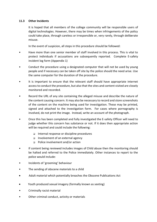#### **11.3 Other Incidents**

It is hoped that all members of the college community will be responsible users of digital technologies. However, there may be times when infringements of the policy could take place, through careless or irresponsible or, very rarely, through deliberate misuse.

In the event of suspicion, all steps in this procedure should be followed:

- Have more than one senior member of staff involved in this process. This is vital to protect individuals if accusations are subsequently reported. Complete E-safety incident log form (Appendix 1)
- Conduct the procedure using a designated computer that will not be used by young people and if necessary can be taken off site by the police should the need arise. Use the same computer for the duration of the procedure.
- It is important to ensure that the relevant staff should have appropriate internet access to conduct the procedure, but also that the sites and content visited are closely monitored and recorded.
- Record the URL of any site containing the alleged misuse and describe the nature of the content causing concern. It may also be necessary to record and store screenshots of the content on the machine being used for investigation. These may be printed, signed and attached to the investigation form. For cases where pornography is involved, do not print the image. Instead, write an account of the photograph.
- Once this has been completed and fully investigated the E-safety Officer will need to judge whether this concern has substance or not. If it does then appropriate action will be required and could include the following:
	- ❑ Internal response or discipline procedures
	- ❑ Involvement of an external agency
	- ❑ Police involvement and/or action
- If content being reviewed includes images of Child abuse then the monitoring should be halted and referred to the Police immediately. Other instances to report to the police would include:
- Incidents of 'grooming' behaviour
- The sending of obscene materials to a child
- Adult material which potentially breaches the Obscene Publications Act
- Youth produced sexual imagery (formally known as sexting)
- Criminally racist material
- Other criminal conduct, activity or materials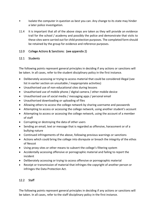- Isolate the computer in question as best you can. Any change to its state may hinder a later police investigation.
- 11.4 It is important that all of the above steps are taken as they will provide an evidence trail for the school / academy and possibly the police and demonstrate that visits to these sites were carried out for child protection purposes. The completed form should be retained by the group for evidence and reference purposes.

# 12.0 College Actions & Sanctions: (see appendix 2)

# 12.1 Students

The following points represent general principles in deciding if any actions or sanctions will be taken. In all cases, refer to the student disciplinary policy in the first instance.

- Deliberately accessing or trying to access material that could be considered illegal (see list in earlier section on unsuitable / inappropriate activities)
- Unauthorised use of non-educational sites during lessons
- Unauthorised use of mobile phone / digital camera / other mobile device
- Unauthorised use of social media / messaging apps / personal email
- Unauthorised downloading or uploading of files
- Allowing others to access the college network by sharing username and passwords
- Attempting to access or accessing the college network, using another student's account
- Attempting to access or accessing the college network, using the account of a member of staff
- Corrupting or destroying the data of other users
- Sending an email, text or message that is regarded as offensive, harassment or of a bullying nature
- Continued infringements of the above, following previous warnings or sanctions
- Actions which could bring the college into disrepute or breach the integrity of the ethos of Nescot
- Using proxy sites or other means to subvert the college's filtering system
- Accidentally accessing offensive or pornographic material and failing to report the incident
- Deliberately accessing or trying to access offensive or pornographic material
- Receipt or transmission of material that infringes the copyright of another person or infringes the Data Protection Act.

# 12.2 Staff

The following points represent general principles in deciding if any actions or sanctions will be taken. In all cases, refer to the staff disciplinary policy in the first instance.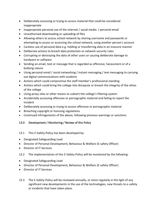- Deliberately accessing or trying to access material that could be considered inappropriate
- Inappropriate personal use of the internet / social media / personal email
- Unauthorised downloading or uploading of files
- Allowing others to access school network by sharing username and passwords or attempting to access or accessing the school network, using another person's account
- Careless use of personal data e.g. holding or transferring data in an insecure manner
- Deliberate actions to breach data protection or network security rules
- Corrupting or destroying the data of other users or causing deliberate damage to hardware or software
- Sending an email, text or message that is regarded as offensive, harassment or of a bullying nature
- Using personal email / social networking / instant messaging / text messaging to carrying out digital communications with students
- Actions which could compromise the staff member's professional standing
- Actions which could bring the college into disrepute or breach the integrity of the ethos of the college
- Using proxy sites or other means to subvert the college's filtering system
- Accidentally accessing offensive or pornographic material and failing to report the incident
- Deliberately accessing or trying to access offensive or pornographic material
- Breaching copyright or licensing regulations
- Continued infringements of the above, following previous warnings or sanctions

# 13.0 Development / Monitoring / Review of this Policy

# 13.1 This E-Safety Policy has been developed by:

- Designated Safeguarding Lead
- Director of Personal Development, Behaviour & Welfare (E-safety Officer)
- Director of IT Services

# 13.2 The implementation of this E-Safety Policy will be monitored by the following:

- Designated Safeguarding Lead
- Director of Personal Development, Behaviour & Welfare (E-safety Officer)
- Director of IT Services
- 13.3 The E-Safety Policy will be reviewed annually, or more regularly in the light of any significant new developments in the use of the technologies, new threats to e-safety or incidents that have taken place.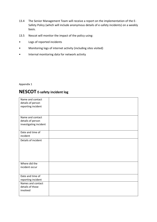- 13.4 The Senior Management Team will receive a report on the implementation of the E-Safety Policy (which will include anonymous details of e-safety incidents) on a weekly basis.
- 13.5 Nescot will monitor the impact of the policy using:
- Logs of reported incidents
- Monitoring logs of internet activity (including sites visited)
- Internal monitoring data for network activity

Appendix 1

# **NESCOT E-safety incident log**

| Name and contact       |  |
|------------------------|--|
| details of person      |  |
| reporting incident     |  |
|                        |  |
|                        |  |
| Name and contact       |  |
| details of person      |  |
| investigating incident |  |
|                        |  |
| Date and time of       |  |
| incident               |  |
| Details of incident    |  |
|                        |  |
|                        |  |
|                        |  |
|                        |  |
|                        |  |
|                        |  |
| Where did the          |  |
| incident occur         |  |
|                        |  |
| Date and time of       |  |
| reporting incident     |  |
| Names and contact      |  |
| details of those       |  |
| involved               |  |
|                        |  |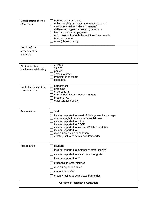| Classification of type<br>of incident<br>Details of any<br>attachments /<br>evidence | bullying or harassment<br>online bullying or harassment (cyberbullying)<br>sexting (self-taken indecent imagery)<br>deliberately bypassing security or access<br>hacking or virus propagation<br>racist, sexist, homophobic religious hate material<br>terrorist material<br>other (please specify)                              |  |
|--------------------------------------------------------------------------------------|----------------------------------------------------------------------------------------------------------------------------------------------------------------------------------------------------------------------------------------------------------------------------------------------------------------------------------|--|
| Did the incident<br>involve material being                                           | created<br>viewed<br>printed<br>shown to other<br>transmitted to others<br>distributed                                                                                                                                                                                                                                           |  |
| Could this incident be<br>considered as                                              | harassment<br>grooming<br>cyberbullying<br>sexting (self-taken indecent imagery)<br>breach of AUP<br>other (please specify)                                                                                                                                                                                                      |  |
| Action taken                                                                         | staff<br>incident reported to Head of College /senior manager<br>advice sought from children's social care<br>incident reported to police<br>incident reported to CEOP<br>incident reported to Internet Watch Foundation<br>incident reported to IT<br>disciplinary action to be taken<br>e-safety policy to be reviewed/amended |  |
| Action taken                                                                         | student<br>incident reported to member of staff (specify)<br>incident reported to social networking site<br>incident reported to IT<br>student's parents informed<br>disciplinary action taken<br>student debriefed<br>e-safety policy to be reviewed/amended                                                                    |  |
| Outcome of incident/ investigation                                                   |                                                                                                                                                                                                                                                                                                                                  |  |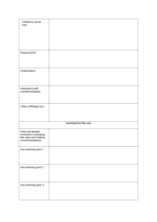| Children's social<br>care                                                          |                        |
|------------------------------------------------------------------------------------|------------------------|
| Police/CEOP                                                                        |                        |
| Organisation                                                                       |                        |
| Individual (staff<br>member/student)                                               |                        |
| Other (HR/legal etc)                                                               |                        |
|                                                                                    | Learning from the case |
| Date and people<br>involved in reviewing<br>the case and making<br>recommendations |                        |
| Key learning point 1                                                               |                        |
| Key learning point 2                                                               |                        |
| Key learning point 3                                                               |                        |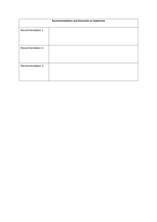| Recommendations and timescales to implement |  |  |
|---------------------------------------------|--|--|
| Recommendation 1                            |  |  |
| Recommendation 2                            |  |  |
| Recommendation 3                            |  |  |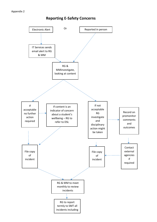#### Appendix 2



# **Reporting E-Safety Concerns**